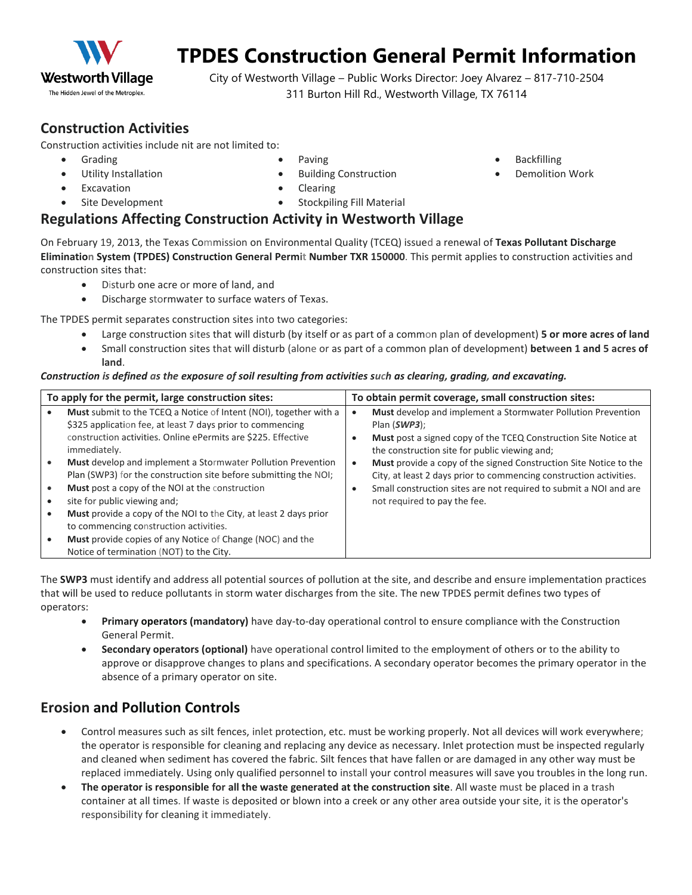

# **TPDES Construction General Permit Information**

City of Westworth Village – Public Works Director: Joey Alvarez – 817-710-2504 311 Burton Hill Rd., Westworth Village, TX 76114

## **Construction Activities**

Construction activities include nit are not limited to:

- Grading
- Utility Installation
- 
- Paving • Building Construction
- Backfilling
	- Demolition Work

**Excavation** Site Development **Clearing** • Stockpiling Fill Material

### **Regulations Affecting Construction Activity in Westworth Village**

On February 19, 2013, the Texas Commission on Environmental Quality (TCEQ) issued a renewal of **Texas Pollutant Discharge Elimination System (TPDES) Construction General Permit Number TXR 150000**. This permit applies to construction activities and construction sites that:

- Disturb one acre or more of land, and
- Discharge stormwater to surface waters of Texas.

The TPDES permit separates construction sites into two categories:

- Large construction sites that will disturb (by itself or as part of a common plan of development) **5 or more acres of land**
- Small construction sites that will disturb (alone or as part of a common plan of development) **between 1 and 5 acres of land**.

#### *Construction is defined as the exposure of soil resulting from activities such as clearing, grading, and excavating.*

| To apply for the permit, large construction sites:                                                                                                                                                                                                                                                                                                                                                                                                        | To obtain permit coverage, small construction sites:                                                                                                                                                                                                                  |  |
|-----------------------------------------------------------------------------------------------------------------------------------------------------------------------------------------------------------------------------------------------------------------------------------------------------------------------------------------------------------------------------------------------------------------------------------------------------------|-----------------------------------------------------------------------------------------------------------------------------------------------------------------------------------------------------------------------------------------------------------------------|--|
| Must submit to the TCEQ a Notice of Intent (NOI), together with a<br>\$325 application fee, at least 7 days prior to commencing<br>construction activities. Online ePermits are \$225. Effective<br>immediately.                                                                                                                                                                                                                                          | Must develop and implement a Stormwater Pollution Prevention<br>Plan (SWP3);<br>Must post a signed copy of the TCEQ Construction Site Notice at<br>the construction site for public viewing and;                                                                      |  |
| Must develop and implement a Stormwater Pollution Prevention<br>Plan (SWP3) for the construction site before submitting the NOI;<br>Must post a copy of the NOI at the construction<br>site for public viewing and;<br><b>Must</b> provide a copy of the NOI to the City, at least 2 days prior<br>to commencing construction activities.<br><b>Must</b> provide copies of any Notice of Change (NOC) and the<br>Notice of termination (NOT) to the City. | <b>Must</b> provide a copy of the signed Construction Site Notice to the<br>$\bullet$<br>City, at least 2 days prior to commencing construction activities.<br>Small construction sites are not required to submit a NOI and are<br>٠<br>not required to pay the fee. |  |

The **SWP3** must identify and address all potential sources of pollution at the site, and describe and ensure implementation practices that will be used to reduce pollutants in storm water discharges from the site. The new TPDES permit defines two types of operators:

- **Primary operators (mandatory)** have day-to-day operational control to ensure compliance with the Construction General Permit.
- **Secondary operators (optional)** have operational control limited to the employment of others or to the ability to approve or disapprove changes to plans and specifications. A secondary operator becomes the primary operator in the absence of a primary operator on site.

## **Erosion and Pollution Controls**

- Control measures such as silt fences, inlet protection, etc. must be working properly. Not all devices will work everywhere; the operator is responsible for cleaning and replacing any device as necessary. Inlet protection must be inspected regularly and cleaned when sediment has covered the fabric. Silt fences that have fallen or are damaged in any other way must be replaced immediately. Using only qualified personnel to install your control measures will save you troubles in the long run.
- **The operator is responsible for all the waste generated at the construction site**. All waste must be placed in a trash container at all times. If waste is deposited or blown into a creek or any other area outside your site, it is the operator's responsibility for cleaning it immediately.